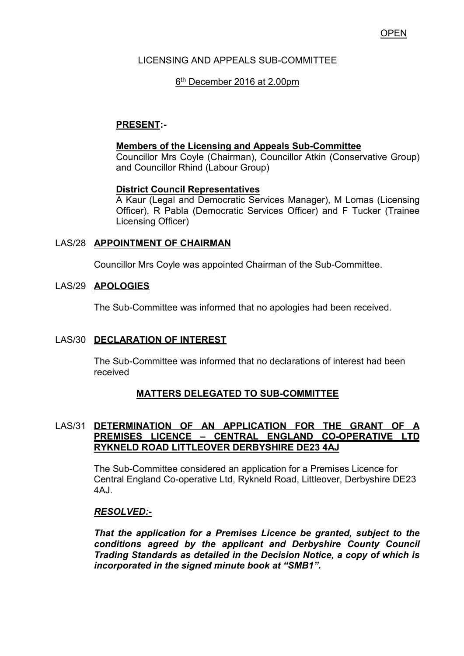# LICENSING AND APPEALS SUB-COMMITTEE

# 6 th December 2016 at 2.00pm

# **PRESENT:-**

### **Members of the Licensing and Appeals Sub-Committee**

 Councillor Mrs Coyle (Chairman), Councillor Atkin (Conservative Group) and Councillor Rhind (Labour Group)

#### **District Council Representatives**

 A Kaur (Legal and Democratic Services Manager), M Lomas (Licensing Officer), R Pabla (Democratic Services Officer) and F Tucker (Trainee Licensing Officer)

### LAS/28 **APPOINTMENT OF CHAIRMAN**

Councillor Mrs Coyle was appointed Chairman of the Sub-Committee.

### LAS/29 **APOLOGIES**

The Sub-Committee was informed that no apologies had been received.

### LAS/30 **DECLARATION OF INTEREST**

 The Sub-Committee was informed that no declarations of interest had been received

### **MATTERS DELEGATED TO SUB-COMMITTEE**

### LAS/31 **DETERMINATION OF AN APPLICATION FOR THE GRANT OF A PREMISES LICENCE – CENTRAL ENGLAND CO-OPERATIVE LTD RYKNELD ROAD LITTLEOVER DERBYSHIRE DE23 4AJ**

The Sub-Committee considered an application for a Premises Licence for Central England Co-operative Ltd, Rykneld Road, Littleover, Derbyshire DE23 4AJ.

### *RESOLVED:-*

*That the application for a Premises Licence be granted, subject to the conditions agreed by the applicant and Derbyshire County Council Trading Standards as detailed in the Decision Notice, a copy of which is incorporated in the signed minute book at "SMB1".*